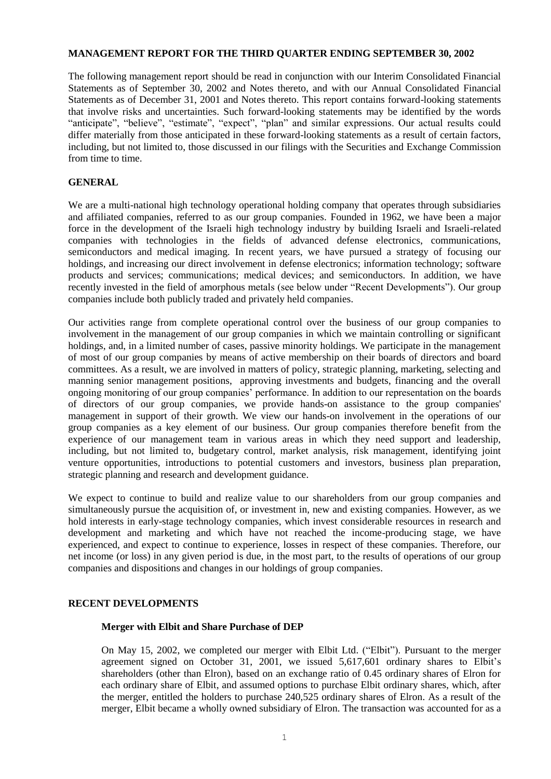#### **MANAGEMENT REPORT FOR THE THIRD QUARTER ENDING SEPTEMBER 30, 2002**

The following management report should be read in conjunction with our Interim Consolidated Financial Statements as of September 30, 2002 and Notes thereto, and with our Annual Consolidated Financial Statements as of December 31, 2001 and Notes thereto. This report contains forward-looking statements that involve risks and uncertainties. Such forward-looking statements may be identified by the words "anticipate", "believe", "estimate", "expect", "plan" and similar expressions. Our actual results could differ materially from those anticipated in these forward-looking statements as a result of certain factors, including, but not limited to, those discussed in our filings with the Securities and Exchange Commission from time to time.

### **GENERAL**

We are a multi-national high technology operational holding company that operates through subsidiaries and affiliated companies, referred to as our group companies. Founded in 1962, we have been a major force in the development of the Israeli high technology industry by building Israeli and Israeli-related companies with technologies in the fields of advanced defense electronics, communications, semiconductors and medical imaging. In recent years, we have pursued a strategy of focusing our holdings, and increasing our direct involvement in defense electronics; information technology; software products and services; communications; medical devices; and semiconductors. In addition, we have recently invested in the field of amorphous metals (see below under "Recent Developments"). Our group companies include both publicly traded and privately held companies.

Our activities range from complete operational control over the business of our group companies to involvement in the management of our group companies in which we maintain controlling or significant holdings, and, in a limited number of cases, passive minority holdings. We participate in the management of most of our group companies by means of active membership on their boards of directors and board committees. As a result, we are involved in matters of policy, strategic planning, marketing, selecting and manning senior management positions, approving investments and budgets, financing and the overall ongoing monitoring of our group companies' performance. In addition to our representation on the boards of directors of our group companies, we provide hands-on assistance to the group companies' management in support of their growth. We view our hands-on involvement in the operations of our group companies as a key element of our business. Our group companies therefore benefit from the experience of our management team in various areas in which they need support and leadership, including, but not limited to, budgetary control, market analysis, risk management, identifying joint venture opportunities, introductions to potential customers and investors, business plan preparation, strategic planning and research and development guidance.

We expect to continue to build and realize value to our shareholders from our group companies and simultaneously pursue the acquisition of, or investment in, new and existing companies. However, as we hold interests in early-stage technology companies, which invest considerable resources in research and development and marketing and which have not reached the income-producing stage, we have experienced, and expect to continue to experience, losses in respect of these companies. Therefore, our net income (or loss) in any given period is due, in the most part, to the results of operations of our group companies and dispositions and changes in our holdings of group companies.

### **RECENT DEVELOPMENTS**

#### **Merger with Elbit and Share Purchase of DEP**

On May 15, 2002, we completed our merger with Elbit Ltd. ("Elbit"). Pursuant to the merger agreement signed on October 31, 2001, we issued 5,617,601 ordinary shares to Elbit's shareholders (other than Elron), based on an exchange ratio of 0.45 ordinary shares of Elron for each ordinary share of Elbit, and assumed options to purchase Elbit ordinary shares, which, after the merger, entitled the holders to purchase 240,525 ordinary shares of Elron. As a result of the merger, Elbit became a wholly owned subsidiary of Elron. The transaction was accounted for as a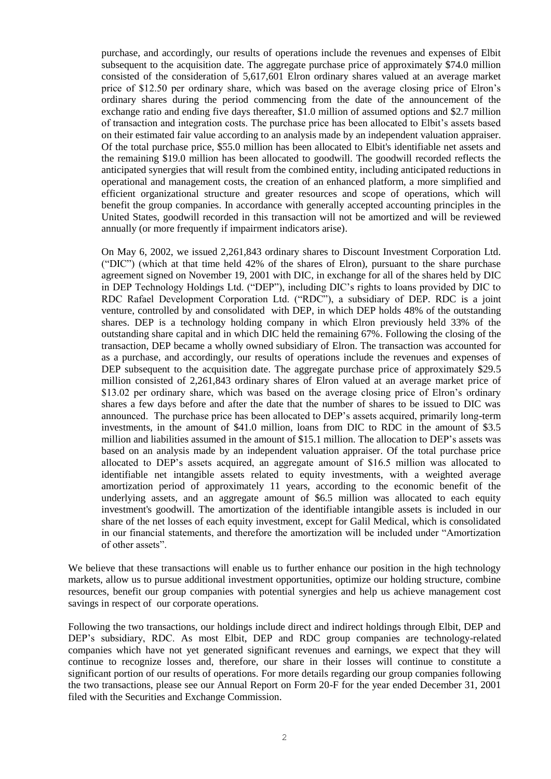purchase, and accordingly, our results of operations include the revenues and expenses of Elbit subsequent to the acquisition date. The aggregate purchase price of approximately \$74.0 million consisted of the consideration of 5,617,601 Elron ordinary shares valued at an average market price of \$12.50 per ordinary share, which was based on the average closing price of Elron's ordinary shares during the period commencing from the date of the announcement of the exchange ratio and ending five days thereafter, \$1.0 million of assumed options and \$2.7 million of transaction and integration costs. The purchase price has been allocated to Elbit's assets based on their estimated fair value according to an analysis made by an independent valuation appraiser. Of the total purchase price, \$55.0 million has been allocated to Elbit's identifiable net assets and the remaining \$19.0 million has been allocated to goodwill. The goodwill recorded reflects the anticipated synergies that will result from the combined entity, including anticipated reductions in operational and management costs, the creation of an enhanced platform, a more simplified and efficient organizational structure and greater resources and scope of operations, which will benefit the group companies. In accordance with generally accepted accounting principles in the United States, goodwill recorded in this transaction will not be amortized and will be reviewed annually (or more frequently if impairment indicators arise).

On May 6, 2002, we issued 2,261,843 ordinary shares to Discount Investment Corporation Ltd. ("DIC") (which at that time held 42% of the shares of Elron), pursuant to the share purchase agreement signed on November 19, 2001 with DIC, in exchange for all of the shares held by DIC in DEP Technology Holdings Ltd. ("DEP"), including DIC's rights to loans provided by DIC to RDC Rafael Development Corporation Ltd. ("RDC"), a subsidiary of DEP. RDC is a joint venture, controlled by and consolidated with DEP, in which DEP holds 48% of the outstanding shares. DEP is a technology holding company in which Elron previously held 33% of the outstanding share capital and in which DIC held the remaining 67%. Following the closing of the transaction, DEP became a wholly owned subsidiary of Elron. The transaction was accounted for as a purchase, and accordingly, our results of operations include the revenues and expenses of DEP subsequent to the acquisition date. The aggregate purchase price of approximately \$29.5 million consisted of 2,261,843 ordinary shares of Elron valued at an average market price of \$13.02 per ordinary share, which was based on the average closing price of Elron's ordinary shares a few days before and after the date that the number of shares to be issued to DIC was announced. The purchase price has been allocated to DEP's assets acquired, primarily long-term investments, in the amount of \$41.0 million, loans from DIC to RDC in the amount of \$3.5 million and liabilities assumed in the amount of \$15.1 million. The allocation to DEP's assets was based on an analysis made by an independent valuation appraiser. Of the total purchase price allocated to DEP's assets acquired, an aggregate amount of \$16.5 million was allocated to identifiable net intangible assets related to equity investments, with a weighted average amortization period of approximately 11 years, according to the economic benefit of the underlying assets, and an aggregate amount of \$6.5 million was allocated to each equity investment's goodwill. The amortization of the identifiable intangible assets is included in our share of the net losses of each equity investment, except for Galil Medical, which is consolidated in our financial statements, and therefore the amortization will be included under "Amortization of other assets".

We believe that these transactions will enable us to further enhance our position in the high technology markets, allow us to pursue additional investment opportunities, optimize our holding structure, combine resources, benefit our group companies with potential synergies and help us achieve management cost savings in respect of our corporate operations.

Following the two transactions, our holdings include direct and indirect holdings through Elbit, DEP and DEP's subsidiary, RDC. As most Elbit, DEP and RDC group companies are technology-related companies which have not yet generated significant revenues and earnings, we expect that they will continue to recognize losses and, therefore, our share in their losses will continue to constitute a significant portion of our results of operations. For more details regarding our group companies following the two transactions, please see our Annual Report on Form 20-F for the year ended December 31, 2001 filed with the Securities and Exchange Commission.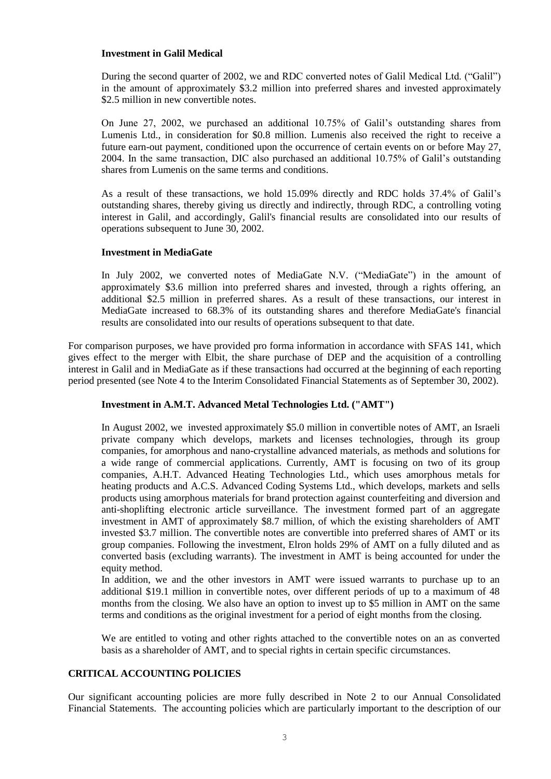#### **Investment in Galil Medical**

During the second quarter of 2002, we and RDC converted notes of Galil Medical Ltd. ("Galil") in the amount of approximately \$3.2 million into preferred shares and invested approximately \$2.5 million in new convertible notes.

On June 27, 2002, we purchased an additional 10.75% of Galil's outstanding shares from Lumenis Ltd., in consideration for \$0.8 million. Lumenis also received the right to receive a future earn-out payment, conditioned upon the occurrence of certain events on or before May 27, 2004. In the same transaction, DIC also purchased an additional 10.75% of Galil's outstanding shares from Lumenis on the same terms and conditions.

As a result of these transactions, we hold 15.09% directly and RDC holds 37.4% of Galil's outstanding shares, thereby giving us directly and indirectly, through RDC, a controlling voting interest in Galil, and accordingly, Galil's financial results are consolidated into our results of operations subsequent to June 30, 2002.

### **Investment in MediaGate**

In July 2002, we converted notes of MediaGate N.V. ("MediaGate") in the amount of approximately \$3.6 million into preferred shares and invested, through a rights offering, an additional \$2.5 million in preferred shares. As a result of these transactions, our interest in MediaGate increased to 68.3% of its outstanding shares and therefore MediaGate's financial results are consolidated into our results of operations subsequent to that date.

For comparison purposes, we have provided pro forma information in accordance with SFAS 141, which gives effect to the merger with Elbit, the share purchase of DEP and the acquisition of a controlling interest in Galil and in MediaGate as if these transactions had occurred at the beginning of each reporting period presented (see Note 4 to the Interim Consolidated Financial Statements as of September 30, 2002).

### **Investment in A.M.T. Advanced Metal Technologies Ltd. ("AMT")**

In August 2002, we invested approximately \$5.0 million in convertible notes of AMT, an Israeli private company which develops, markets and licenses technologies, through its group companies, for amorphous and nano-crystalline advanced materials, as methods and solutions for a wide range of commercial applications. Currently, AMT is focusing on two of its group companies, A.H.T. Advanced Heating Technologies Ltd., which uses amorphous metals for heating products and A.C.S. Advanced Coding Systems Ltd., which develops, markets and sells products using amorphous materials for brand protection against counterfeiting and diversion and anti-shoplifting electronic article surveillance. The investment formed part of an aggregate investment in AMT of approximately \$8.7 million, of which the existing shareholders of AMT invested \$3.7 million. The convertible notes are convertible into preferred shares of AMT or its group companies. Following the investment, Elron holds 29% of AMT on a fully diluted and as converted basis (excluding warrants). The investment in AMT is being accounted for under the equity method.

In addition, we and the other investors in AMT were issued warrants to purchase up to an additional \$19.1 million in convertible notes, over different periods of up to a maximum of 48 months from the closing. We also have an option to invest up to \$5 million in AMT on the same terms and conditions as the original investment for a period of eight months from the closing.

We are entitled to voting and other rights attached to the convertible notes on an as converted basis as a shareholder of AMT, and to special rights in certain specific circumstances.

# **CRITICAL ACCOUNTING POLICIES**

Our significant accounting policies are more fully described in Note 2 to our Annual Consolidated Financial Statements. The accounting policies which are particularly important to the description of our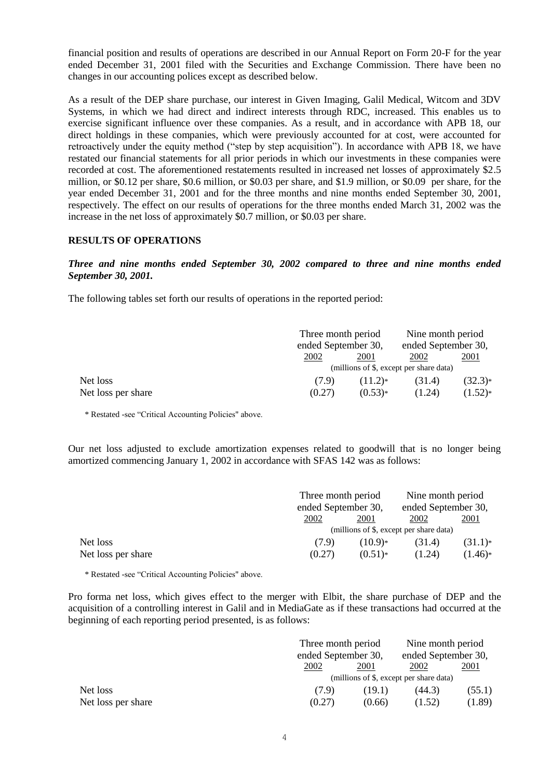financial position and results of operations are described in our Annual Report on Form 20-F for the year ended December 31, 2001 filed with the Securities and Exchange Commission. There have been no changes in our accounting polices except as described below.

As a result of the DEP share purchase, our interest in Given Imaging, Galil Medical, Witcom and 3DV Systems, in which we had direct and indirect interests through RDC, increased. This enables us to exercise significant influence over these companies. As a result, and in accordance with APB 18, our direct holdings in these companies, which were previously accounted for at cost, were accounted for retroactively under the equity method ("step by step acquisition"). In accordance with APB 18, we have restated our financial statements for all prior periods in which our investments in these companies were recorded at cost. The aforementioned restatements resulted in increased net losses of approximately \$2.5 million, or \$0.12 per share, \$0.6 million, or \$0.03 per share, and \$1.9 million, or \$0.09 per share, for the year ended December 31, 2001 and for the three months and nine months ended September 30, 2001, respectively. The effect on our results of operations for the three months ended March 31, 2002 was the increase in the net loss of approximately \$0.7 million, or \$0.03 per share.

### **RESULTS OF OPERATIONS**

### *Three and nine months ended September 30, 2002 compared to three and nine months ended September 30, 2001.*

The following tables set forth our results of operations in the reported period:

|                    | Three month period<br>ended September 30, |           | Nine month period<br>ended September 30, |             |
|--------------------|-------------------------------------------|-----------|------------------------------------------|-------------|
|                    |                                           |           |                                          |             |
|                    | 2002                                      | 2001      | 2002                                     | <u>2001</u> |
|                    | (millions of \$, except per share data)   |           |                                          |             |
| Net loss           | (7.9)                                     | $(11.2)*$ | (31.4)                                   | $(32.3)*$   |
| Net loss per share | (0.27)                                    | $(0.53)*$ | (1.24)                                   | $(1.52)*$   |

\* Restated -see "Critical Accounting Policies" above.

Our net loss adjusted to exclude amortization expenses related to goodwill that is no longer being amortized commencing January 1, 2002 in accordance with SFAS 142 was as follows:

|                    |        | Three month period<br>ended September 30, |        | Nine month period<br>ended September 30, |  |
|--------------------|--------|-------------------------------------------|--------|------------------------------------------|--|
|                    |        |                                           |        |                                          |  |
|                    | 2002   | 2001                                      | 2002   | <u>2001</u>                              |  |
|                    |        | (millions of \$, except per share data)   |        |                                          |  |
| Net loss           | (7.9)  | $(10.9)*$                                 | (31.4) | $(31.1)*$                                |  |
| Net loss per share | (0.27) | $(0.51)*$                                 | (1.24) | $(1.46)*$                                |  |

\* Restated -see "Critical Accounting Policies" above.

Pro forma net loss, which gives effect to the merger with Elbit, the share purchase of DEP and the acquisition of a controlling interest in Galil and in MediaGate as if these transactions had occurred at the beginning of each reporting period presented, is as follows:

|                    | Three month period<br>ended September 30, |        | Nine month period<br>ended September 30, |        |
|--------------------|-------------------------------------------|--------|------------------------------------------|--------|
|                    |                                           |        |                                          |        |
|                    | 2002                                      | 2001   | 2002                                     | 2001   |
|                    | (millions of \$, except per share data)   |        |                                          |        |
| Net loss           | (7.9)                                     | (19.1) | (44.3)                                   | (55.1) |
| Net loss per share | (0.27)                                    | (0.66) | (1.52)                                   | (1.89) |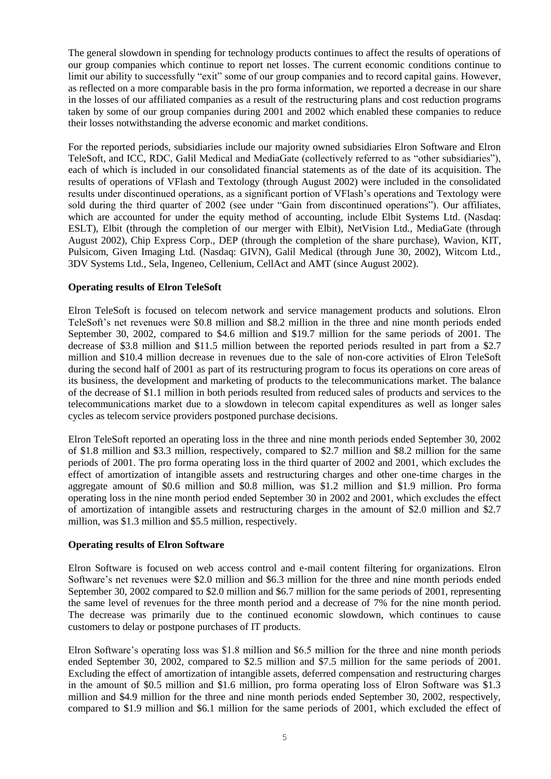The general slowdown in spending for technology products continues to affect the results of operations of our group companies which continue to report net losses. The current economic conditions continue to limit our ability to successfully "exit" some of our group companies and to record capital gains. However, as reflected on a more comparable basis in the pro forma information, we reported a decrease in our share in the losses of our affiliated companies as a result of the restructuring plans and cost reduction programs taken by some of our group companies during 2001 and 2002 which enabled these companies to reduce their losses notwithstanding the adverse economic and market conditions.

For the reported periods, subsidiaries include our majority owned subsidiaries Elron Software and Elron TeleSoft, and ICC, RDC, Galil Medical and MediaGate (collectively referred to as "other subsidiaries"), each of which is included in our consolidated financial statements as of the date of its acquisition. The results of operations of VFlash and Textology (through August 2002) were included in the consolidated results under discontinued operations, as a significant portion of VFlash's operations and Textology were sold during the third quarter of 2002 (see under "Gain from discontinued operations"). Our affiliates, which are accounted for under the equity method of accounting, include Elbit Systems Ltd. (Nasdaq: ESLT), Elbit (through the completion of our merger with Elbit), NetVision Ltd., MediaGate (through August 2002), Chip Express Corp., DEP (through the completion of the share purchase), Wavion, KIT, Pulsicom, Given Imaging Ltd. (Nasdaq: GIVN), Galil Medical (through June 30, 2002), Witcom Ltd., 3DV Systems Ltd., Sela, Ingeneo, Cellenium, CellAct and AMT (since August 2002).

### **Operating results of Elron TeleSoft**

Elron TeleSoft is focused on telecom network and service management products and solutions. Elron TeleSoft's net revenues were \$0.8 million and \$8.2 million in the three and nine month periods ended September 30, 2002, compared to \$4.6 million and \$19.7 million for the same periods of 2001. The decrease of \$3.8 million and \$11.5 million between the reported periods resulted in part from a \$2.7 million and \$10.4 million decrease in revenues due to the sale of non-core activities of Elron TeleSoft during the second half of 2001 as part of its restructuring program to focus its operations on core areas of its business, the development and marketing of products to the telecommunications market. The balance of the decrease of \$1.1 million in both periods resulted from reduced sales of products and services to the telecommunications market due to a slowdown in telecom capital expenditures as well as longer sales cycles as telecom service providers postponed purchase decisions.

Elron TeleSoft reported an operating loss in the three and nine month periods ended September 30, 2002 of \$1.8 million and \$3.3 million, respectively, compared to \$2.7 million and \$8.2 million for the same periods of 2001. The pro forma operating loss in the third quarter of 2002 and 2001, which excludes the effect of amortization of intangible assets and restructuring charges and other one-time charges in the aggregate amount of \$0.6 million and \$0.8 million, was \$1.2 million and \$1.9 million. Pro forma operating loss in the nine month period ended September 30 in 2002 and 2001, which excludes the effect of amortization of intangible assets and restructuring charges in the amount of \$2.0 million and \$2.7 million, was \$1.3 million and \$5.5 million, respectively.

#### **Operating results of Elron Software**

Elron Software is focused on web access control and e-mail content filtering for organizations. Elron Software's net revenues were \$2.0 million and \$6.3 million for the three and nine month periods ended September 30, 2002 compared to \$2.0 million and \$6.7 million for the same periods of 2001, representing the same level of revenues for the three month period and a decrease of 7% for the nine month period. The decrease was primarily due to the continued economic slowdown, which continues to cause customers to delay or postpone purchases of IT products.

Elron Software's operating loss was \$1.8 million and \$6.5 million for the three and nine month periods ended September 30, 2002, compared to \$2.5 million and \$7.5 million for the same periods of 2001. Excluding the effect of amortization of intangible assets, deferred compensation and restructuring charges in the amount of \$0.5 million and \$1.6 million, pro forma operating loss of Elron Software was \$1.3 million and \$4.9 million for the three and nine month periods ended September 30, 2002, respectively, compared to \$1.9 million and \$6.1 million for the same periods of 2001, which excluded the effect of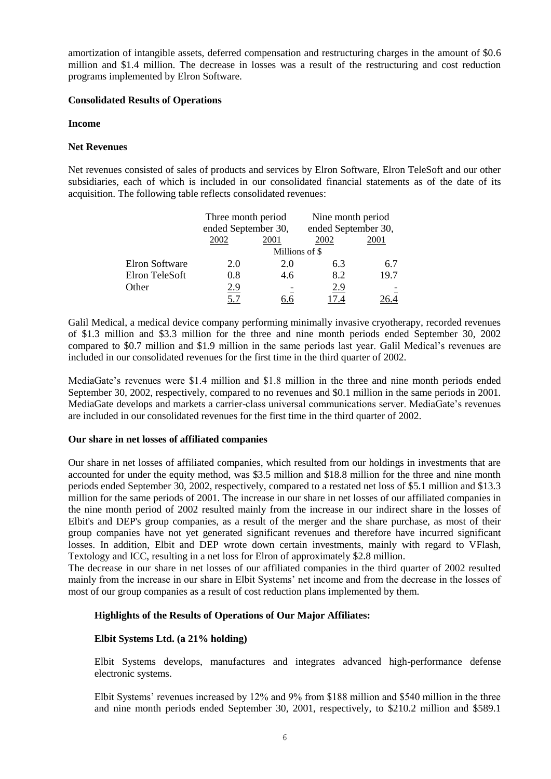amortization of intangible assets, deferred compensation and restructuring charges in the amount of \$0.6 million and \$1.4 million. The decrease in losses was a result of the restructuring and cost reduction programs implemented by Elron Software.

### **Consolidated Results of Operations**

# **Income**

# **Net Revenues**

Net revenues consisted of sales of products and services by Elron Software, Elron TeleSoft and our other subsidiaries, each of which is included in our consolidated financial statements as of the date of its acquisition. The following table reflects consolidated revenues:

|                       | Three month period<br>ended September 30, |      | Nine month period<br>ended September 30, |      |  |
|-----------------------|-------------------------------------------|------|------------------------------------------|------|--|
|                       |                                           |      |                                          |      |  |
|                       | 2002                                      | 2001 | 2002                                     | 2001 |  |
|                       | Millions of \$                            |      |                                          |      |  |
| <b>Elron Software</b> | 2.0                                       | 2.0  | 6.3                                      | 6.7  |  |
| Elron TeleSoft        | 0.8                                       | 4.6  | 8.2                                      | 19.7 |  |
| Other                 | 2.9                                       |      | 2.9                                      |      |  |
|                       | 5.7                                       |      | 7.4                                      |      |  |

Galil Medical, a medical device company performing minimally invasive cryotherapy, recorded revenues of \$1.3 million and \$3.3 million for the three and nine month periods ended September 30, 2002 compared to \$0.7 million and \$1.9 million in the same periods last year. Galil Medical's revenues are included in our consolidated revenues for the first time in the third quarter of 2002.

MediaGate's revenues were \$1.4 million and \$1.8 million in the three and nine month periods ended September 30, 2002, respectively, compared to no revenues and \$0.1 million in the same periods in 2001. MediaGate develops and markets a carrier-class universal communications server. MediaGate's revenues are included in our consolidated revenues for the first time in the third quarter of 2002.

# **Our share in net losses of affiliated companies**

Our share in net losses of affiliated companies, which resulted from our holdings in investments that are accounted for under the equity method, was \$3.5 million and \$18.8 million for the three and nine month periods ended September 30, 2002, respectively, compared to a restated net loss of \$5.1 million and \$13.3 million for the same periods of 2001. The increase in our share in net losses of our affiliated companies in the nine month period of 2002 resulted mainly from the increase in our indirect share in the losses of Elbit's and DEP's group companies, as a result of the merger and the share purchase, as most of their group companies have not yet generated significant revenues and therefore have incurred significant losses. In addition, Elbit and DEP wrote down certain investments, mainly with regard to VFlash, Textology and ICC, resulting in a net loss for Elron of approximately \$2.8 million.

The decrease in our share in net losses of our affiliated companies in the third quarter of 2002 resulted mainly from the increase in our share in Elbit Systems' net income and from the decrease in the losses of most of our group companies as a result of cost reduction plans implemented by them.

# **Highlights of the Results of Operations of Our Major Affiliates:**

# **Elbit Systems Ltd. (a 21% holding)**

Elbit Systems develops, manufactures and integrates advanced high-performance defense electronic systems.

Elbit Systems' revenues increased by 12% and 9% from \$188 million and \$540 million in the three and nine month periods ended September 30, 2001, respectively, to \$210.2 million and \$589.1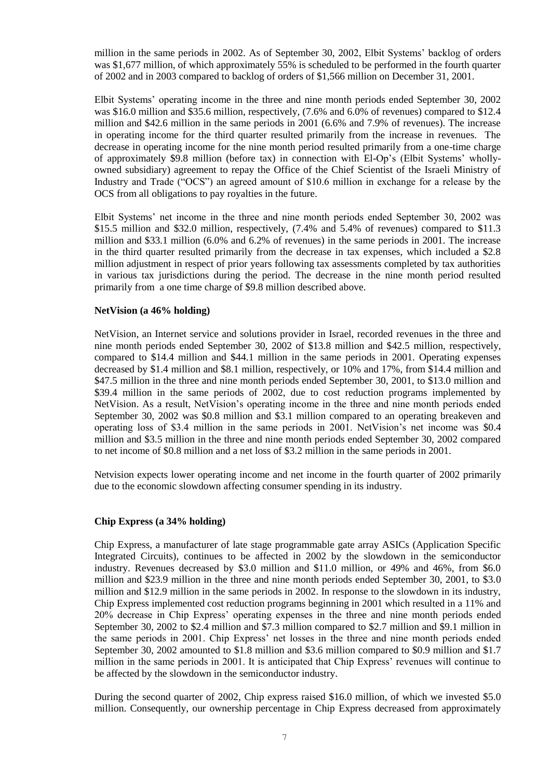million in the same periods in 2002. As of September 30, 2002, Elbit Systems' backlog of orders was \$1,677 million, of which approximately 55% is scheduled to be performed in the fourth quarter of 2002 and in 2003 compared to backlog of orders of \$1,566 million on December 31, 2001.

Elbit Systems' operating income in the three and nine month periods ended September 30, 2002 was \$16.0 million and \$35.6 million, respectively, (7.6% and 6.0% of revenues) compared to \$12.4 million and \$42.6 million in the same periods in 2001 (6.6% and 7.9% of revenues). The increase in operating income for the third quarter resulted primarily from the increase in revenues. The decrease in operating income for the nine month period resulted primarily from a one-time charge of approximately \$9.8 million (before tax) in connection with El-Op's (Elbit Systems' whollyowned subsidiary) agreement to repay the Office of the Chief Scientist of the Israeli Ministry of Industry and Trade ("OCS") an agreed amount of \$10.6 million in exchange for a release by the OCS from all obligations to pay royalties in the future.

Elbit Systems' net income in the three and nine month periods ended September 30, 2002 was \$15.5 million and \$32.0 million, respectively, (7.4% and 5.4% of revenues) compared to \$11.3 million and \$33.1 million (6.0% and 6.2% of revenues) in the same periods in 2001. The increase in the third quarter resulted primarily from the decrease in tax expenses, which included a \$2.8 million adjustment in respect of prior years following tax assessments completed by tax authorities in various tax jurisdictions during the period. The decrease in the nine month period resulted primarily from a one time charge of \$9.8 million described above.

#### **NetVision (a 46% holding)**

NetVision, an Internet service and solutions provider in Israel, recorded revenues in the three and nine month periods ended September 30, 2002 of \$13.8 million and \$42.5 million, respectively, compared to \$14.4 million and \$44.1 million in the same periods in 2001. Operating expenses decreased by \$1.4 million and \$8.1 million, respectively, or 10% and 17%, from \$14.4 million and \$47.5 million in the three and nine month periods ended September 30, 2001, to \$13.0 million and \$39.4 million in the same periods of 2002, due to cost reduction programs implemented by NetVision. As a result, NetVision's operating income in the three and nine month periods ended September 30, 2002 was \$0.8 million and \$3.1 million compared to an operating breakeven and operating loss of \$3.4 million in the same periods in 2001. NetVision's net income was \$0.4 million and \$3.5 million in the three and nine month periods ended September 30, 2002 compared to net income of \$0.8 million and a net loss of \$3.2 million in the same periods in 2001.

Netvision expects lower operating income and net income in the fourth quarter of 2002 primarily due to the economic slowdown affecting consumer spending in its industry.

### **Chip Express (a 34% holding)**

Chip Express, a manufacturer of late stage programmable gate array ASICs (Application Specific Integrated Circuits), continues to be affected in 2002 by the slowdown in the semiconductor industry. Revenues decreased by \$3.0 million and \$11.0 million, or 49% and 46%, from \$6.0 million and \$23.9 million in the three and nine month periods ended September 30, 2001, to \$3.0 million and \$12.9 million in the same periods in 2002. In response to the slowdown in its industry, Chip Express implemented cost reduction programs beginning in 2001 which resulted in a 11% and 20% decrease in Chip Express' operating expenses in the three and nine month periods ended September 30, 2002 to \$2.4 million and \$7.3 million compared to \$2.7 million and \$9.1 million in the same periods in 2001. Chip Express' net losses in the three and nine month periods ended September 30, 2002 amounted to \$1.8 million and \$3.6 million compared to \$0.9 million and \$1.7 million in the same periods in 2001. It is anticipated that Chip Express' revenues will continue to be affected by the slowdown in the semiconductor industry.

During the second quarter of 2002, Chip express raised \$16.0 million, of which we invested \$5.0 million. Consequently, our ownership percentage in Chip Express decreased from approximately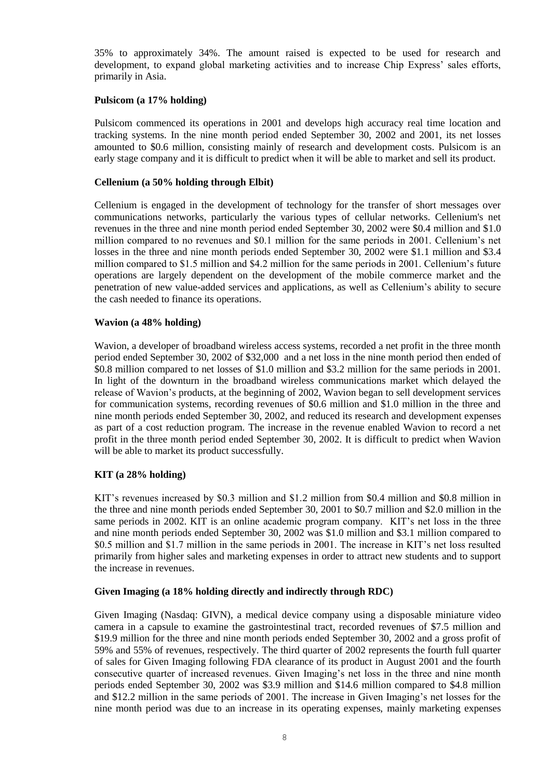35% to approximately 34%. The amount raised is expected to be used for research and development, to expand global marketing activities and to increase Chip Express' sales efforts, primarily in Asia.

### **Pulsicom (a 17% holding)**

Pulsicom commenced its operations in 2001 and develops high accuracy real time location and tracking systems. In the nine month period ended September 30, 2002 and 2001, its net losses amounted to \$0.6 million, consisting mainly of research and development costs. Pulsicom is an early stage company and it is difficult to predict when it will be able to market and sell its product.

# **Cellenium (a 50% holding through Elbit)**

Cellenium is engaged in the development of technology for the transfer of short messages over communications networks, particularly the various types of cellular networks. Cellenium's net revenues in the three and nine month period ended September 30, 2002 were \$0.4 million and \$1.0 million compared to no revenues and \$0.1 million for the same periods in 2001. Cellenium's net losses in the three and nine month periods ended September 30, 2002 were \$1.1 million and \$3.4 million compared to \$1.5 million and \$4.2 million for the same periods in 2001. Cellenium's future operations are largely dependent on the development of the mobile commerce market and the penetration of new value-added services and applications, as well as Cellenium's ability to secure the cash needed to finance its operations.

# **Wavion (a 48% holding)**

Wavion, a developer of broadband wireless access systems, recorded a net profit in the three month period ended September 30, 2002 of \$32,000 and a net loss in the nine month period then ended of \$0.8 million compared to net losses of \$1.0 million and \$3.2 million for the same periods in 2001. In light of the downturn in the broadband wireless communications market which delayed the release of Wavion's products, at the beginning of 2002, Wavion began to sell development services for communication systems, recording revenues of \$0.6 million and \$1.0 million in the three and nine month periods ended September 30, 2002, and reduced its research and development expenses as part of a cost reduction program. The increase in the revenue enabled Wavion to record a net profit in the three month period ended September 30, 2002. It is difficult to predict when Wavion will be able to market its product successfully.

# **KIT (a 28% holding)**

KIT's revenues increased by \$0.3 million and \$1.2 million from \$0.4 million and \$0.8 million in the three and nine month periods ended September 30, 2001 to \$0.7 million and \$2.0 million in the same periods in 2002. KIT is an online academic program company. KIT's net loss in the three and nine month periods ended September 30, 2002 was \$1.0 million and \$3.1 million compared to \$0.5 million and \$1.7 million in the same periods in 2001. The increase in KIT's net loss resulted primarily from higher sales and marketing expenses in order to attract new students and to support the increase in revenues.

### **Given Imaging (a 18% holding directly and indirectly through RDC)**

Given Imaging (Nasdaq: GIVN), a medical device company using a disposable miniature video camera in a capsule to examine the gastrointestinal tract, recorded revenues of \$7.5 million and \$19.9 million for the three and nine month periods ended September 30, 2002 and a gross profit of 59% and 55% of revenues, respectively. The third quarter of 2002 represents the fourth full quarter of sales for Given Imaging following FDA clearance of its product in August 2001 and the fourth consecutive quarter of increased revenues. Given Imaging's net loss in the three and nine month periods ended September 30, 2002 was \$3.9 million and \$14.6 million compared to \$4.8 million and \$12.2 million in the same periods of 2001. The increase in Given Imaging's net losses for the nine month period was due to an increase in its operating expenses, mainly marketing expenses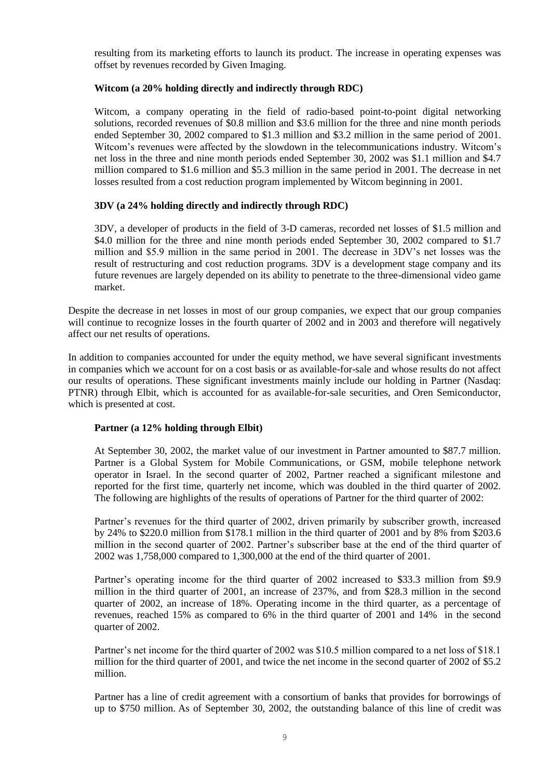resulting from its marketing efforts to launch its product. The increase in operating expenses was offset by revenues recorded by Given Imaging.

# **Witcom (a 20% holding directly and indirectly through RDC)**

Witcom, a company operating in the field of radio-based point-to-point digital networking solutions, recorded revenues of \$0.8 million and \$3.6 million for the three and nine month periods ended September 30, 2002 compared to \$1.3 million and \$3.2 million in the same period of 2001. Witcom's revenues were affected by the slowdown in the telecommunications industry. Witcom's net loss in the three and nine month periods ended September 30, 2002 was \$1.1 million and \$4.7 million compared to \$1.6 million and \$5.3 million in the same period in 2001. The decrease in net losses resulted from a cost reduction program implemented by Witcom beginning in 2001.

# **3DV (a 24% holding directly and indirectly through RDC)**

3DV, a developer of products in the field of 3-D cameras, recorded net losses of \$1.5 million and \$4.0 million for the three and nine month periods ended September 30, 2002 compared to \$1.7 million and \$5.9 million in the same period in 2001. The decrease in 3DV's net losses was the result of restructuring and cost reduction programs. 3DV is a development stage company and its future revenues are largely depended on its ability to penetrate to the three-dimensional video game market.

Despite the decrease in net losses in most of our group companies, we expect that our group companies will continue to recognize losses in the fourth quarter of 2002 and in 2003 and therefore will negatively affect our net results of operations.

In addition to companies accounted for under the equity method, we have several significant investments in companies which we account for on a cost basis or as available-for-sale and whose results do not affect our results of operations. These significant investments mainly include our holding in Partner (Nasdaq: PTNR) through Elbit, which is accounted for as available-for-sale securities, and Oren Semiconductor, which is presented at cost.

### **Partner (a 12% holding through Elbit)**

At September 30, 2002, the market value of our investment in Partner amounted to \$87.7 million. Partner is a Global System for Mobile Communications, or GSM, mobile telephone network operator in Israel. In the second quarter of 2002, Partner reached a significant milestone and reported for the first time, quarterly net income, which was doubled in the third quarter of 2002. The following are highlights of the results of operations of Partner for the third quarter of 2002:

Partner's revenues for the third quarter of 2002, driven primarily by subscriber growth, increased by 24% to \$220.0 million from \$178.1 million in the third quarter of 2001 and by 8% from \$203.6 million in the second quarter of 2002. Partner's subscriber base at the end of the third quarter of 2002 was 1,758,000 compared to 1,300,000 at the end of the third quarter of 2001.

Partner's operating income for the third quarter of 2002 increased to \$33.3 million from \$9.9 million in the third quarter of 2001, an increase of 237%, and from \$28.3 million in the second quarter of 2002, an increase of 18%. Operating income in the third quarter, as a percentage of revenues, reached 15% as compared to 6% in the third quarter of 2001 and 14% in the second quarter of 2002.

Partner's net income for the third quarter of 2002 was \$10.5 million compared to a net loss of \$18.1 million for the third quarter of 2001, and twice the net income in the second quarter of 2002 of \$5.2 million.

Partner has a line of credit agreement with a consortium of banks that provides for borrowings of up to \$750 million. As of September 30, 2002, the outstanding balance of this line of credit was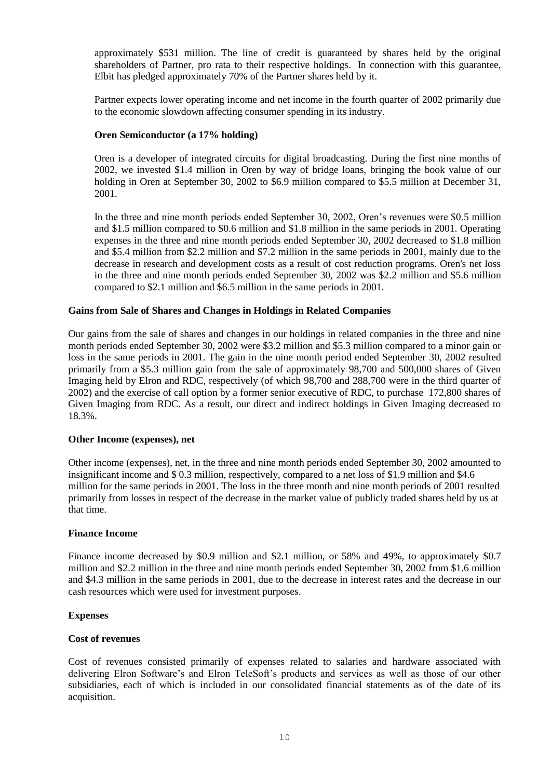approximately \$531 million. The line of credit is guaranteed by shares held by the original shareholders of Partner, pro rata to their respective holdings. In connection with this guarantee, Elbit has pledged approximately 70% of the Partner shares held by it.

Partner expects lower operating income and net income in the fourth quarter of 2002 primarily due to the economic slowdown affecting consumer spending in its industry.

### **Oren Semiconductor (a 17% holding)**

Oren is a developer of integrated circuits for digital broadcasting. During the first nine months of 2002, we invested \$1.4 million in Oren by way of bridge loans, bringing the book value of our holding in Oren at September 30, 2002 to \$6.9 million compared to \$5.5 million at December 31, 2001.

In the three and nine month periods ended September 30, 2002, Oren's revenues were \$0.5 million and \$1.5 million compared to \$0.6 million and \$1.8 million in the same periods in 2001. Operating expenses in the three and nine month periods ended September 30, 2002 decreased to \$1.8 million and \$5.4 million from \$2.2 million and \$7.2 million in the same periods in 2001, mainly due to the decrease in research and development costs as a result of cost reduction programs. Oren's net loss in the three and nine month periods ended September 30, 2002 was \$2.2 million and \$5.6 million compared to \$2.1 million and \$6.5 million in the same periods in 2001.

### **Gains from Sale of Shares and Changes in Holdings in Related Companies**

Our gains from the sale of shares and changes in our holdings in related companies in the three and nine month periods ended September 30, 2002 were \$3.2 million and \$5.3 million compared to a minor gain or loss in the same periods in 2001. The gain in the nine month period ended September 30, 2002 resulted primarily from a \$5.3 million gain from the sale of approximately 98,700 and 500,000 shares of Given Imaging held by Elron and RDC, respectively (of which 98,700 and 288,700 were in the third quarter of 2002) and the exercise of call option by a former senior executive of RDC, to purchase 172,800 shares of Given Imaging from RDC. As a result, our direct and indirect holdings in Given Imaging decreased to 18.3%.

### **Other Income (expenses), net**

Other income (expenses), net, in the three and nine month periods ended September 30, 2002 amounted to insignificant income and \$ 0.3 million, respectively, compared to a net loss of \$1.9 million and \$4.6 million for the same periods in 2001. The loss in the three month and nine month periods of 2001 resulted primarily from losses in respect of the decrease in the market value of publicly traded shares held by us at that time.

### **Finance Income**

Finance income decreased by \$0.9 million and \$2.1 million, or 58% and 49%, to approximately \$0.7 million and \$2.2 million in the three and nine month periods ended September 30, 2002 from \$1.6 million and \$4.3 million in the same periods in 2001, due to the decrease in interest rates and the decrease in our cash resources which were used for investment purposes.

### **Expenses**

### **Cost of revenues**

Cost of revenues consisted primarily of expenses related to salaries and hardware associated with delivering Elron Software's and Elron TeleSoft's products and services as well as those of our other subsidiaries, each of which is included in our consolidated financial statements as of the date of its acquisition.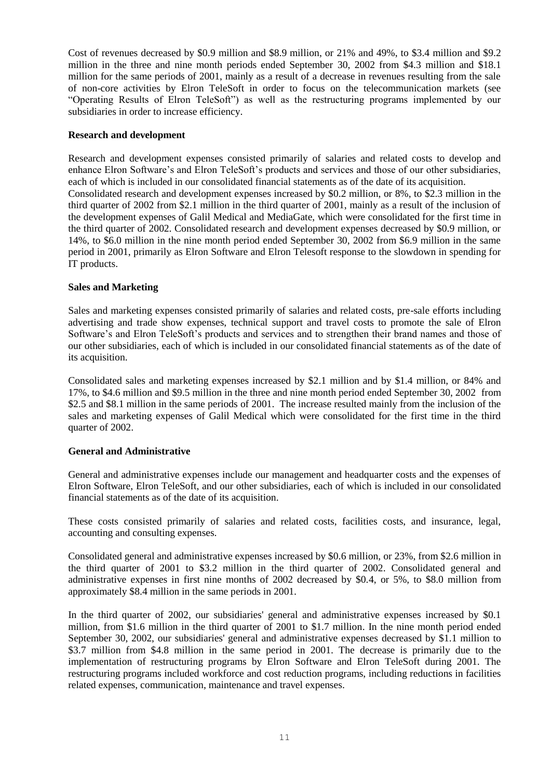Cost of revenues decreased by \$0.9 million and \$8.9 million, or 21% and 49%, to \$3.4 million and \$9.2 million in the three and nine month periods ended September 30, 2002 from \$4.3 million and \$18.1 million for the same periods of 2001, mainly as a result of a decrease in revenues resulting from the sale of non-core activities by Elron TeleSoft in order to focus on the telecommunication markets (see "Operating Results of Elron TeleSoft") as well as the restructuring programs implemented by our subsidiaries in order to increase efficiency.

### **Research and development**

Research and development expenses consisted primarily of salaries and related costs to develop and enhance Elron Software's and Elron TeleSoft's products and services and those of our other subsidiaries, each of which is included in our consolidated financial statements as of the date of its acquisition. Consolidated research and development expenses increased by \$0.2 million, or 8%, to \$2.3 million in the third quarter of 2002 from \$2.1 million in the third quarter of 2001, mainly as a result of the inclusion of the development expenses of Galil Medical and MediaGate, which were consolidated for the first time in the third quarter of 2002. Consolidated research and development expenses decreased by \$0.9 million, or 14%, to \$6.0 million in the nine month period ended September 30, 2002 from \$6.9 million in the same period in 2001, primarily as Elron Software and Elron Telesoft response to the slowdown in spending for IT products.

# **Sales and Marketing**

Sales and marketing expenses consisted primarily of salaries and related costs, pre-sale efforts including advertising and trade show expenses, technical support and travel costs to promote the sale of Elron Software's and Elron TeleSoft's products and services and to strengthen their brand names and those of our other subsidiaries, each of which is included in our consolidated financial statements as of the date of its acquisition.

Consolidated sales and marketing expenses increased by \$2.1 million and by \$1.4 million, or 84% and 17%, to \$4.6 million and \$9.5 million in the three and nine month period ended September 30, 2002 from \$2.5 and \$8.1 million in the same periods of 2001. The increase resulted mainly from the inclusion of the sales and marketing expenses of Galil Medical which were consolidated for the first time in the third quarter of 2002.

### **General and Administrative**

General and administrative expenses include our management and headquarter costs and the expenses of Elron Software, Elron TeleSoft, and our other subsidiaries, each of which is included in our consolidated financial statements as of the date of its acquisition.

These costs consisted primarily of salaries and related costs, facilities costs, and insurance, legal, accounting and consulting expenses.

Consolidated general and administrative expenses increased by \$0.6 million, or 23%, from \$2.6 million in the third quarter of 2001 to \$3.2 million in the third quarter of 2002. Consolidated general and administrative expenses in first nine months of 2002 decreased by \$0.4, or 5%, to \$8.0 million from approximately \$8.4 million in the same periods in 2001.

In the third quarter of 2002, our subsidiaries' general and administrative expenses increased by \$0.1 million, from \$1.6 million in the third quarter of 2001 to \$1.7 million. In the nine month period ended September 30, 2002, our subsidiaries' general and administrative expenses decreased by \$1.1 million to \$3.7 million from \$4.8 million in the same period in 2001. The decrease is primarily due to the implementation of restructuring programs by Elron Software and Elron TeleSoft during 2001. The restructuring programs included workforce and cost reduction programs, including reductions in facilities related expenses, communication, maintenance and travel expenses.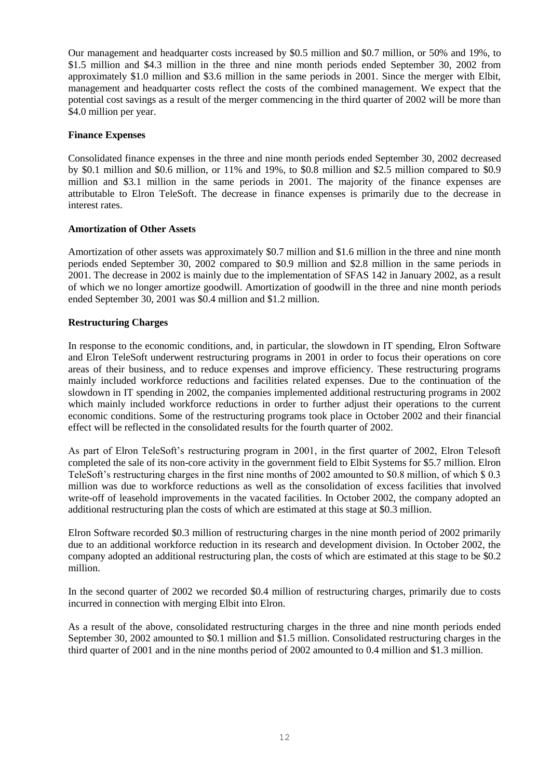Our management and headquarter costs increased by \$0.5 million and \$0.7 million, or 50% and 19%, to \$1.5 million and \$4.3 million in the three and nine month periods ended September 30, 2002 from approximately \$1.0 million and \$3.6 million in the same periods in 2001. Since the merger with Elbit, management and headquarter costs reflect the costs of the combined management. We expect that the potential cost savings as a result of the merger commencing in the third quarter of 2002 will be more than \$4.0 million per year.

# **Finance Expenses**

Consolidated finance expenses in the three and nine month periods ended September 30, 2002 decreased by \$0.1 million and \$0.6 million, or 11% and 19%, to \$0.8 million and \$2.5 million compared to \$0.9 million and \$3.1 million in the same periods in 2001. The majority of the finance expenses are attributable to Elron TeleSoft. The decrease in finance expenses is primarily due to the decrease in interest rates.

### **Amortization of Other Assets**

Amortization of other assets was approximately \$0.7 million and \$1.6 million in the three and nine month periods ended September 30, 2002 compared to \$0.9 million and \$2.8 million in the same periods in 2001. The decrease in 2002 is mainly due to the implementation of SFAS 142 in January 2002, as a result of which we no longer amortize goodwill. Amortization of goodwill in the three and nine month periods ended September 30, 2001 was \$0.4 million and \$1.2 million.

# **Restructuring Charges**

In response to the economic conditions, and, in particular, the slowdown in IT spending, Elron Software and Elron TeleSoft underwent restructuring programs in 2001 in order to focus their operations on core areas of their business, and to reduce expenses and improve efficiency. These restructuring programs mainly included workforce reductions and facilities related expenses. Due to the continuation of the slowdown in IT spending in 2002, the companies implemented additional restructuring programs in 2002 which mainly included workforce reductions in order to further adjust their operations to the current economic conditions. Some of the restructuring programs took place in October 2002 and their financial effect will be reflected in the consolidated results for the fourth quarter of 2002.

As part of Elron TeleSoft's restructuring program in 2001, in the first quarter of 2002, Elron Telesoft completed the sale of its non-core activity in the government field to Elbit Systems for \$5.7 million. Elron TeleSoft's restructuring charges in the first nine months of 2002 amounted to \$0.8 million, of which \$ 0.3 million was due to workforce reductions as well as the consolidation of excess facilities that involved write-off of leasehold improvements in the vacated facilities. In October 2002, the company adopted an additional restructuring plan the costs of which are estimated at this stage at \$0.3 million.

Elron Software recorded \$0.3 million of restructuring charges in the nine month period of 2002 primarily due to an additional workforce reduction in its research and development division. In October 2002, the company adopted an additional restructuring plan, the costs of which are estimated at this stage to be \$0.2 million.

In the second quarter of 2002 we recorded \$0.4 million of restructuring charges, primarily due to costs incurred in connection with merging Elbit into Elron.

As a result of the above, consolidated restructuring charges in the three and nine month periods ended September 30, 2002 amounted to \$0.1 million and \$1.5 million. Consolidated restructuring charges in the third quarter of 2001 and in the nine months period of 2002 amounted to 0.4 million and \$1.3 million.